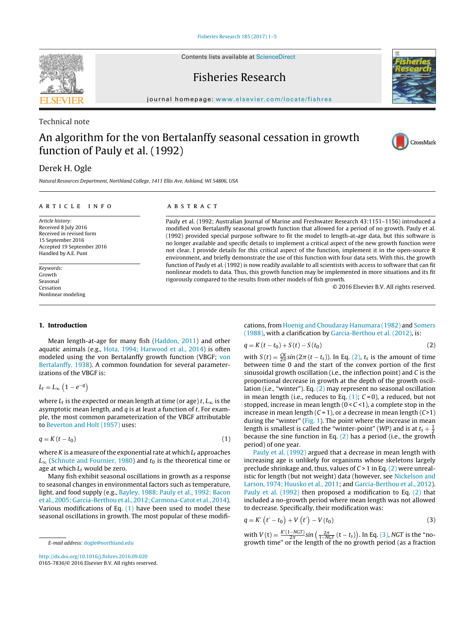Contents lists available at [ScienceDirect](http://www.sciencedirect.com/science/journal/01657836)

# Fisheries Research

journal homepage: [www.elsevier.com/locate/fishres](http://www.elsevier.com/locate/fishres)

### Technical note

# An algorithm for the von Bertalanffy seasonal cessation in growth function of Pauly et al. (1992)

## Derek H. Ogle

Natural Resources Department, Northland College, 1411 Ellis Ave, Ashland, WI 54806, USA

Mean length-at-age for many fish ([Haddon,](#page-4-0) [2011\)](#page-4-0) and other aquatic animals (e.g., [Hota,](#page-4-0) [1994;](#page-4-0) [Harwood](#page-4-0) et [al.,](#page-4-0) [2014\)](#page-4-0) is often modeled using the von Bertalanffy growth function (VBGF; [von](#page-4-0) [Bertalanffy,](#page-4-0) [1938\).](#page-4-0) A common foundation for several parameter-

where  $L_t$  is the expected or mean length at time (or age) t,  $L_\infty$  is the asymptotic mean length, and  $q$  is at least a function of  $t$ . For example, the most common parameterization of the VBGF attributable

 $q = K(t - t_0)$  (1) where K is a measure of the exponential rate at which  $L_t$  approaches  $L_{\infty}$  ([Schnute](#page-4-0) [and](#page-4-0) [Fournier,](#page-4-0) [1980\)](#page-4-0) and  $t_0$  is the theoretical time or

Many fish exhibit seasonal oscillations in growth as a response to seasonal changes in environmental factors such as temperature, light, and food supply (e.g., [Bayley,](#page-3-0) [1988;](#page-3-0) [Pauly](#page-3-0) et [al.,](#page-3-0) [1992;](#page-3-0) [Bacon](#page-3-0) et [al.,](#page-3-0) [2005;](#page-3-0) [Garcia-Berthou](#page-3-0) et [al.,](#page-3-0) [2012;](#page-3-0) [Carmona-Catot](#page-3-0) et [al.,](#page-3-0) [2014\).](#page-3-0) Various modifications of Eq.  $(1)$  have been used to model these seasonal oscillations in growth. The most popular of these modifi-

#### a r t i c l e i n f o

Article history: Received 8 July 2016 Received in revised form 15 September 2016 Accepted 19 September 2016 Handled by A.E. Punt

Keywords: Growth Seasonal Cessation Nonlinear modeling

**1. Introduction**

izations of the VBGF is:

to [Beverton](#page-4-0) [and](#page-4-0) [Holt](#page-4-0) [\(1957\)](#page-4-0) uses:

age at which  $L_t$  would be zero.

 $L_t = L_{\infty} \left( 1 - e^{-q} \right)$ 

A B S T R A C T

Pauly et al. (1992; Australian Journal of Marine and Freshwater Research 43:1151–1156) introduced a modified von Bertalanffy seasonal growth function that allowed for a period of no growth. Pauly et al. (1992) provided special purpose software to fit the model to length-at-age data, but this software is no longer available and specific details to implement a critical aspect of the new growth function were not clear. I provide details for this critical aspect of the function, implement it in the open-source R environment, and briefly demonstrate the use of this function with four data sets. With this, the growth function of Pauly et al. (1992) is now readily available to all scientists with access to software that can fit nonlinear models to data. Thus, this growth function may be implemented in more situations and its fit rigorously compared to the results from other models of fish growth.

© 2016 Elsevier B.V. All rights reserved.

cations, from [Hoenig](#page-4-0) [and](#page-4-0) [Choudaray](#page-4-0) [Hanumara](#page-4-0) [\(1982\)](#page-4-0) and [Somers](#page-4-0) [\(1988\),](#page-4-0) with a clarification by [Garcia-Berthou](#page-4-0) et [al.](#page-4-0) [\(2012\),](#page-4-0) is:

$$
q = K(t - t_0) + S(t) - S(t_0)
$$
 (2)

with  $S(t) = \frac{CK}{2\pi} \sin(2\pi (t - t_s))$ . In Eq. (2),  $t_s$  is the amount of time between time 0 and the start of the convex portion of the first sinusoidal growth oscillation (i.e., the inflection point) and C is the proportional decrease in growth at the depth of the growth oscillation (i.e., "winter"). Eq. (2) may represent no seasonal oscillation in mean length (i.e., reduces to Eq.  $(1)$ ;  $C = 0$ ), a reduced, but not stopped, increase in mean length  $(0 < C < 1)$ , a complete stop in the increase in mean length  $(C = 1)$ , or a decrease in mean length  $(C > 1)$ during the "winter" [\(Fig.](#page-1-0) 1). The point where the increase in mean length is smallest is called the "winter-point" (WP) and is at  $t_s + \frac{1}{2}$ because the sine function in Eq.  $(2)$  has a period (i.e., the growth period) of one year.

[Pauly](#page-4-0) et [al.](#page-4-0) [\(1992\)](#page-4-0) argued that a decrease in mean length with increasing age is unlikely for organisms whose skeletons largely preclude shrinkage and, thus, values of  $C > 1$  in Eq. (2) were unrealistic for length (but not weight) data (however, see [Nickelson](#page-4-0) [and](#page-4-0) [Larson,](#page-4-0) [1974;](#page-4-0) [Huusko](#page-4-0) et [al.,](#page-4-0) [2011;](#page-4-0) and [Garcia-Berthou](#page-4-0) et [al.,](#page-4-0) [2012\).](#page-4-0) [Pauly](#page-4-0) et [al.](#page-4-0) [\(1992\)](#page-4-0) then proposed a modification to Eq. (2) that included a no-growth period where mean length was not allowed to decrease. Specifically, their modification was:

$$
q = K'\left(t'-t_0\right) + V\left(t'\right) - V(t_0) \tag{3}
$$

with  $V(t) = \frac{K'(1-NGT)}{2\pi} \sin\left(\frac{2\pi}{1-NGT}(t-t_s)\right)$ . In Eq. (3), NGT is the "nogrowth time" or the length of the no growth period (as a fraction

#### E-mail address: [dogle@northland.edu](mailto:dogle@northland.edu)

<span id="page-0-0"></span>





[http://dx.doi.org/10.1016/j.fishres.2016.09.020](dx.doi.org/10.1016/j.fishres.2016.09.020) 0165-7836/© 2016 Elsevier B.V. All rights reserved.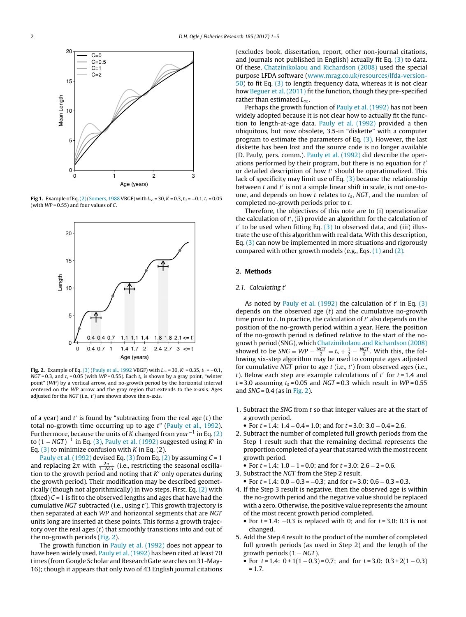<span id="page-1-0"></span>

**Fig 1.** Example of Eq.[\(2\)\(](#page-0-0)[Somers,](#page-4-0) 1988 VBGF) with  $L_{\infty}$  = 30, K = 0.3,  $t_0$  = −0.1,  $t_s$  = 0.05 (with  $WP = 0.55$ ) and four values of C.



**Fig. 2.** Example of Eq. [\(3\)](#page-0-0) [\(Pauly](#page-4-0) [et](#page-4-0) [al.,](#page-4-0) [1992](#page-4-0) VBGF) with  $L_{\infty}$  = 30, K' = 0.35,  $t_0$  = −0.1,  $NGT = 0.3$ , and  $t_s = 0.05$  (with  $WP = 0.55$ ). Each  $t_s$  is shown by a gray point, "winter point" (WP) by a vertical arrow, and no-growth period by the horizontal interval centered on the WP arrow and the gray region that extends to the x-axis. Ages adjusted for the NGT (i.e.,  $t'$ ) are shown above the x-axis.

of a year) and  $t'$  is found by "subtracting from the real age  $(t)$  the total no-growth time occurring up to age  $t^*$  ([Pauly](#page-4-0) et [al.,](#page-4-0) [1992\).](#page-4-0) Furthermore, because the units of K changed from year<sup>-1</sup> in Eq. [\(2\)](#page-0-0) to (1 – NGT)<sup>-1</sup> in Eq. [\(3\),](#page-0-0) [Pauly](#page-4-0) et [al.](#page-4-0) [\(1992\)](#page-4-0) suggested using K' in Eq.  $(3)$  to minimize confusion with K in Eq.  $(2)$ .

[Pauly](#page-4-0) et [al.](#page-4-0) [\(1992\)](#page-4-0) devised Eq. [\(3\)](#page-0-0) from Eq. [\(2\)](#page-0-0) by assuming  $C = 1$ and replacing  $2\pi$  with  $\frac{2\pi}{1-NGT}$  (i.e., restricting the seasonal oscillation to the growth period and noting that  $K'$  only operates during the growth period). Their modification may be described geometrically (though not algorithmically) in two steps. First, Eq. [\(2\)](#page-0-0) with (fixed)  $C = 1$  is fit to the observed lengths and ages that have had the cumulative NGT subtracted (i.e., using  $t'$ ). This growth trajectory is then separated at each WP and horizontal segments that are NGT units long are inserted at these points. This forms a growth trajectory over the real ages  $(t)$  that smoothly transitions into and out of the no-growth periods (Fig. 2).

The growth function in [Pauly](#page-4-0) et [al.](#page-4-0) [\(1992\)](#page-4-0) does not appear to have been widely used. [Pauly](#page-4-0) et [al.](#page-4-0) [\(1992\)](#page-4-0) has been cited at least 70 times (from Google Scholar and ResearchGate searches on 31-May-16); though it appears that only two of 43 English journal citations (excludes book, dissertation, report, other non-journal citations, and journals not published in English) actually fit Eq.  $(3)$  to data. Of these, [Chatzinikolaou](#page-4-0) [and](#page-4-0) [Richardson](#page-4-0) [\(2008\)](#page-4-0) used the special purpose LFDA software ([www.mrag.co.uk/resources/lfda-version-](http://www.mrag.co.uk/resources/lfda-version-50)[50\)](http://www.mrag.co.uk/resources/lfda-version-50) to fit Eq. [\(3\)](#page-0-0) to length frequency data, whereas it is not clear how [Beguer](#page-3-0) et [al.](#page-3-0) [\(2011\)](#page-3-0) fit the function, though they pre-specified rather than estimated  $L_{\infty}$ .

Perhaps the growth function of [Pauly](#page-4-0) et [al.](#page-4-0) [\(1992\)](#page-4-0) has not been widely adopted because it is not clear how to actually fit the function to length-at-age data. [Pauly](#page-4-0) et [al.](#page-4-0) [\(1992\)](#page-4-0) provided a then ubiquitous, but now obsolete, 3.5-in "diskette" with a computer program to estimate the parameters of Eq.  $(3)$ . However, the last diskette has been lost and the source code is no longer available (D. Pauly, pers. comm.). [Pauly](#page-4-0) et [al.](#page-4-0) [\(1992\)](#page-4-0) did describe the operations performed by their program, but there is no equation for  $t'$ or detailed description of how  $t'$  should be operationalized. This lack of specificity may limit use of Eq.  $(3)$  because the relationship between  $t$  and  $t'$  is not a simple linear shift in scale, is not one-toone, and depends on how  $t$  relates to  $t_s$ , NGT, and the number of completed no-growth periods prior to t.

Therefore, the objectives of this note are to (i) operationalize the calculation of t , (ii) provide an algorithm for the calculation of  $t'$  to be used when fitting Eq.  $(3)$  to observed data, and (iii) illustrate the use of this algorithm with real data. With this description, Eq.  $(3)$  can now be implemented in more situations and rigorously compared with other growth models (e.g., Eqs.  $(1)$  and  $(2)$ .

#### **2. Methods**

#### 2.1. Calculating t'

As noted by [Pauly](#page-4-0) et [al.](#page-4-0) [\(1992\)](#page-4-0) the calculation of  $t'$  in Eq. [\(3\)](#page-0-0) depends on the observed age  $(t)$  and the cumulative no-growth time prior to  $t$ . In practice, the calculation of  $t'$  also depends on the position of the no-growth period within a year. Here, the position of the no-growth period is defined relative to the start of the nogrowth period (SNG), which [Chatzinikolaou](#page-4-0) [and](#page-4-0) [Richardson](#page-4-0) [\(2008\)](#page-4-0) showed to be  $SNG = WP - \frac{NGT}{2} = t_s + \frac{1}{2} - \frac{NGT}{2}$ . With this, the following six-step algorithm may be used to compute ages adjusted for cumulative NGT prior to age t (i.e., t') from observed ages (i.e., t). Below each step are example calculations of  $t'$  for  $t = 1.4$  and  $t = 3.0$  assuming  $t_s = 0.05$  and NGT = 0.3 which result in WP = 0.55 and  $SNG = 0.4$  (as in Fig. 2).

- 1. Subtract the SNG from  $t$  so that integer values are at the start of a growth period.
	- For  $t = 1.4$ :  $1.4 0.4 = 1.0$ ; and for  $t = 3.0$ :  $3.0 0.4 = 2.6$ .
- 2. Subtract the number of completed full growth periods from the Step 1 result such that the remaining decimal represents the proportion completed of a year that started with the most recent growth period.
- For  $t = 1.4$ :  $1.0 1 = 0.0$ ; and for  $t = 3.0$ :  $2.6 2 = 0.6$ .
- 3. Substract the NGT from the Step 2 result.
- For  $t = 1.4$ :  $0.0 0.3 = -0.3$ ; and for  $t = 3.0$ :  $0.6 0.3 = 0.3$ .
- 4. If the Step 3 result is negative, then the observed age is within the no-growth period and the negative value should be replaced with a zero. Otherwise, the positive value represents the amount of the most recent growth period completed.
	- For  $t = 1.4$ :  $-0.3$  is replaced with 0; and for  $t = 3.0$ : 0.3 is not changed.
- 5. Add the Step 4 result to the product of the number of completed full growth periods (as used in Step 2) and the length of the growth periods  $(1 - NGT)$ .
	- For  $t = 1.4$ :  $0 + 1(1 0.3) = 0.7$ ; and for  $t = 3.0$ :  $0.3 + 2(1 0.3)$  $= 1.7.$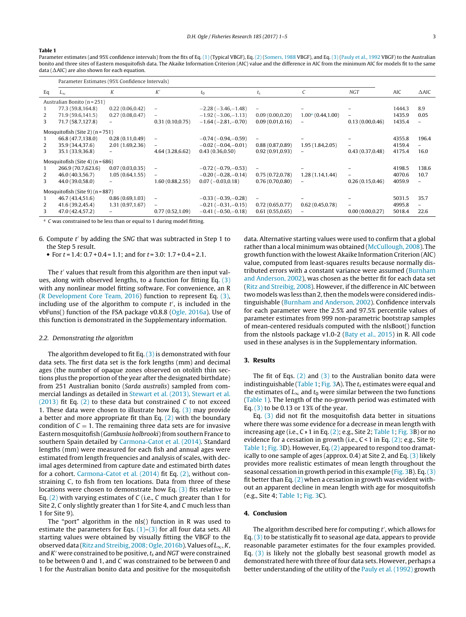#### <span id="page-2-0"></span>**Table 1**

Parameter estimates (and 95% confidence intervals) from the fits of Eq. [\(1\)](#page-0-0) (Typical VBGF), Eq. [\(2\)](#page-0-0) [\(Somers,](#page-4-0) [1988](#page-4-0) VBGF), and Eq. [\(3\)](#page-0-0) [\(Pauly](#page-4-0) et [al.,](#page-4-0) [1992](#page-4-0) VBGF) to the Australian bonito and three sites of Eastern mosquitofish data. The Akaike Information Criterion (AIC) value and the difference in AIC from the minimum AIC for models fit to the same data ( $\Delta$ AIC) are also shown for each equation.

|                                   | Parameter Estimates (95% Confidence Intervals) |                          |                          |                               |                          |                          |                  |        |                   |
|-----------------------------------|------------------------------------------------|--------------------------|--------------------------|-------------------------------|--------------------------|--------------------------|------------------|--------|-------------------|
| Eq                                | $L_{\infty}$                                   | K                        | K'                       | $t_0$                         | $t_{\rm s}$              | C                        | <b>NGT</b>       | AIC    | $\Delta$ AIC      |
| Australian Bonito (n = 251)       |                                                |                          |                          |                               |                          |                          |                  |        |                   |
|                                   | 77.3 (59.8,164.8)                              | 0.22(0.06, 0.42)         | $\overline{\phantom{a}}$ | $-2.28(-3.46,-1.48)$          | $\overline{\phantom{m}}$ |                          |                  | 1444.3 | 8.9               |
| 2                                 | 71.9 (59.6,141.5)                              | 0.27(0.08, 0.47)         | $\qquad \qquad -$        | $-1.92(-3.06,-1.13)$          | 0.09(0.00, 0.20)         | $1.00a$ (0.44,1.00)      | -                | 1435.9 | 0.05              |
| 3                                 | 71.7 (58.7,127.8)                              | $\qquad \qquad -$        | 0.31(0.10, 0.75)         | $-1.64(-2.81,-0.70)$          | 0.09(0.01, 0.16)         | $\overline{\phantom{a}}$ | 0.13(0.00, 0.46) | 1435.4 | $\qquad \qquad -$ |
| Mosquitofish (Site 2) $(n = 751)$ |                                                |                          |                          |                               |                          |                          |                  |        |                   |
|                                   | 66.8 (47.7,138.0)                              | 0.28(0.11, 0.49)         | $\overline{\phantom{a}}$ | $-0.74(-0.94,-0.59)$          | Ξ.                       |                          |                  | 4355.8 | 196.4             |
| 2                                 | 35.9 (34.4,37.6)                               | 2.01 (1.69,2.36)         |                          | $-0.02$ ( $-0.04$ , $-0.01$ ) | 0.88(0.87, 0.89)         | 1.95 (1.84, 2.05)        |                  | 4159.4 | $\overline{a}$    |
| 3                                 | 35.1 (33.9,36.8)                               | $\overline{\phantom{a}}$ | 4.64 (3.28, 6.62)        | 0.43(0.36,0.50)               | 0.92(0.91, 0.93)         | $\overline{\phantom{a}}$ | 0.43(0.37,0.48)  | 4175.4 | 16.0              |
| Mosquitofish (Site 4) $(n = 686)$ |                                                |                          |                          |                               |                          |                          |                  |        |                   |
|                                   | 266.9 (70.7,623.6)                             | 0.07(0.03,0.35)          | $\overline{\phantom{a}}$ | $-0.72(-0.79,-0.53)$          | $\qquad \qquad -$        |                          |                  | 4198.5 | 138.6             |
| 2                                 | 46.0 (40.3,56.7)                               | 1.05(0.64, 1.55)         |                          | $-0.20(-0.28,-0.14)$          | 0.75(0.72,0.78)          | 1.28 (1.14,1.44)         |                  | 4070.6 | 10.7              |
| 3                                 | 44.0 (39.0,58.0)                               |                          | 1,60(0.88, 2.55)         | $0.07(-0.03,0.18)$            | 0.76(0.70, 0.80)         | $\overline{\phantom{a}}$ | 0.26(0.15, 0.46) | 4059.9 | $\overline{a}$    |
| Mosquitofish (Site 9) $(n = 887)$ |                                                |                          |                          |                               |                          |                          |                  |        |                   |
|                                   | 46.7 (43.4,51.6)                               | 0.86(0.69, 1.03)         | $\overline{\phantom{a}}$ | $-0.33(-0.39,-0.28)$          | Ξ.                       |                          |                  | 5031.5 | 35.7              |
| 2                                 | 41.6 (39.2,45.4)                               | 1.31 (0.97,1.67)         |                          | $-0.21(-0.31,-0.15)$          | 0.72(0.65, 0.77)         | 0.62(0.45, 0.78)         |                  | 4995.8 | $\qquad \qquad -$ |
| 3                                 | 47.0 (42.4,57.2)                               |                          | 0.77(0.52, 1.09)         | $-0.41(-0.50,-0.18)$          | 0.61(0.55, 0.65)         | $\overline{\phantom{a}}$ | 0.00(0.00, 0.27) | 5018.4 | 22.6              |

<sup>a</sup> C was constrained to be less than or equal to 1 during model fitting.

- 6. Compute  $t'$  by adding the SNG that was subtracted in Step 1 to the Step 5 result.
	- For  $t = 1.4$ :  $0.7 + 0.4 = 1.1$ ; and for  $t = 3.0$ :  $1.7 + 0.4 = 2.1$ .

The  $t'$  values that result from this algorithm are then input values, along with observed lengths, to a function for fitting Eq. [\(3\)](#page-0-0) with any nonlinear model fitting software. For convenience, an R ([R](#page-4-0) [Development](#page-4-0) [Core](#page-4-0) [Team,](#page-4-0) [2016\)](#page-4-0) function to represent Eq. [\(3\),](#page-0-0) including use of the algorithm to compute  $t'$ , is included in the vbFuns() function of the FSA package v0.8.8 [\(Ogle,](#page-4-0) [2016a\).](#page-4-0) Use of this function is demonstrated in the Supplementary information.

#### 2.2. Demonstrating the algorithm

The algorithm developed to fit Eq.  $(3)$  is demonstrated with four data sets. The first data set is the fork lengths (mm) and decimal ages (the number of opaque zones observed on otolith thin sections plus the proportion of the year after the designated birthdate) from 251 Australian bonito (Sarda australis) sampled from commercial landings as detailed in [Stewart](#page-4-0) et [al.](#page-4-0) [\(2013\).](#page-4-0) [Stewart](#page-4-0) et [al.](#page-4-0) [\(2013\)](#page-4-0) fit Eq.  $(2)$  to these data but constrained C to not exceed 1. These data were chosen to illustrate how Eq.  $(3)$  may provide a better and more appropriate fit than Eq.  $(2)$  with the boundary condition of  $C = 1$ . The remaining three data sets are for invasive Eastern mosquitofish (Gambusia holbrooki) from southern France to southern Spain detailed by [Carmona-Catot](#page-4-0) et [al.](#page-4-0) [\(2014\).](#page-4-0) Standard lengths (mm) were measured for each fish and annual ages were estimated from length frequencies and analysis of scales, with decimal ages determined from capture date and estimated birth dates for a cohort. [Carmona-Catot](#page-4-0) et [al.](#page-4-0) [\(2014\)](#page-4-0) fit Eq. [\(2\),](#page-0-0) without constraining C, to fish from ten locations. Data from three of these locations were chosen to demonstrate how Eq. [\(3\)](#page-0-0) fits relative to Eq.  $(2)$  with varying estimates of C (i.e., C much greater than 1 for Site 2, C only slightly greater than 1 for Site 4, and C much less than 1 for Site 9).

The "port" algorithm in the nls() function in R was used to estimate the parameters for Eqs.  $(1)-(3)$  for all four data sets. All starting values were obtained by visually fitting the VBGF to the observed data ([Ritz](#page-4-0) and Streibig, [2008;](#page-4-0) [Ogle,](#page-4-0) [2016b\).](#page-4-0) Values of  $L_{\infty}$ , K, and  $K'$  were constrained to be positive,  $t_s$  and NGT were constrained to be between 0 and 1, and C was constrained to be between 0 and 1 for the Australian bonito data and positive for the mosquitofish data. Alternative starting values were used to confirm that a global rather than a local minimum was obtained [\(McCullough,](#page-4-0) [2008\).](#page-4-0) The growth function with the lowest Akaike Information Criterion (AIC) value, computed from least-squares results because normally distributed errors with a constant variance were assumed [\(Burnham](#page-4-0) [and](#page-4-0) [Anderson,](#page-4-0) [2002\),](#page-4-0) was chosen as the better fit for each data set [\(Ritz](#page-4-0) [and](#page-4-0) [Streibig,](#page-4-0) [2008\).](#page-4-0) However, if the difference in AIC between two models was less than 2, then the models were considered indistinguishable ([Burnham](#page-4-0) [and](#page-4-0) [Anderson,](#page-4-0) [2002\).](#page-4-0) Confidence intervals for each parameter were the 2.5% and 97.5% percentile values of parameter estimates from 999 non-parametric bootstrap samples of mean-centered residuals computed with the nlsBoot() function from the nlstools package v1.0-2 ([Baty](#page-3-0) et [al.,](#page-3-0) [2015\)](#page-3-0) in R. All code used in these analyses is in the Supplementary information.

#### **3. Results**

The fit of Eqs. [\(2\)](#page-0-0) and [\(3\)](#page-0-0) to the Australian bonito data were indistinguishable (Table 1; [Fig.](#page-3-0) 3A). The  $t_s$  estimates were equal and the estimates of  $L_{\infty}$  and  $t_0$  were similar between the two functions (Table 1). The length of the no-growth period was estimated with Eq. [\(3\)](#page-0-0) to be 0.13 or 13% of the year.

Eq. [\(3\)](#page-0-0) did not fit the mosquitofish data better in situations where there was some evidence for a decrease in mean length with increasing age (i.e.,  $C \times 1$  in Eq. [\(2\);](#page-0-0) e.g., Site 2; Table 1; [Fig.](#page-3-0) 3B) or no evidence for a cessation in growth (i.e., C < 1 in Eq. [\(2\);](#page-0-0) e.g., Site 9; Table 1; [Fig.](#page-3-0) 3D). However, Eq. [\(2\)](#page-0-0) appeared to respond too dramatically to one sample of ages (approx. 0.4) at Site 2, and Eq.  $(3)$  likely provides more realistic estimates of mean length throughout the seasonal cessation in growth period in this example [\(Fig.](#page-3-0) 3B). Eq.[\(3\)](#page-0-0) fit better than Eq.  $(2)$  when a cessation in growth was evident without an apparent decline in mean length with age for mosquitofish (e.g., Site 4; Table 1; [Fig.](#page-3-0) 3C).

#### **4. Conclusion**

The algorithm described here for computing  $t'$ , which allows for Eq. [\(3\)](#page-0-0) to be statistically fit to seasonal age data, appears to provide reasonable parameter estimates for the four examples provided. Eq. [\(3\)](#page-0-0) is likely not the globally best seasonal growth model as demonstrated here with three of four data sets. However, perhaps a better understanding of the utility of the [Pauly](#page-4-0) et [al.](#page-4-0) [\(1992\)](#page-4-0) growth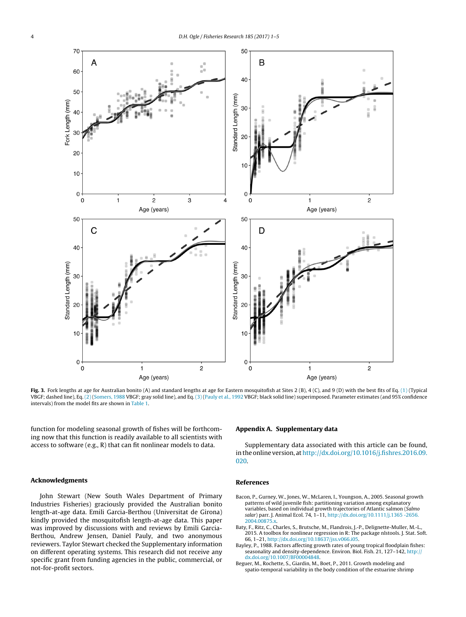<span id="page-3-0"></span>

**Fig. 3.** Fork lengths at age for Australian bonito (A) and standard lengths at age for Eastern mosquitofish at Sites 2 (B), 4 (C), and 9 (D) with the best fits of Eq. [\(1\)](#page-0-0) (Typical VBGF; dashed line), Eq. [\(2\)](#page-0-0) [\(Somers,](#page-4-0) [1988](#page-4-0) VBGF; gray solid line), and Eq. [\(3\)](#page-0-0) ([Pauly](#page-4-0) et [al.,](#page-4-0) [1992](#page-4-0) VBGF; black solid line) superimposed. Parameter estimates (and 95% confidence intervals) from the model fits are shown in [Table](#page-2-0) 1.

function for modeling seasonal growth of fishes will be forthcoming now that this function is readily available to all scientists with access to software (e.g., R) that can fit nonlinear models to data.

#### **Acknowledgments**

John Stewart (New South Wales Department of Primary Industries Fisheries) graciously provided the Australian bonito length-at-age data. Emili Garcia-Berthou (Universitat de Girona) kindly provided the mosquitofish length-at-age data. This paper was improved by discussions with and reviews by Emili Garcia-Berthou, Andrew Jensen, Daniel Pauly, and two anonymous reviewers. Taylor Stewart checked the Supplementary information on different operating systems. This research did not receive any specific grant from funding agencies in the public, commercial, or not-for-profit sectors.

#### **Appendix A. Supplementary data**

Supplementary data associated with this article can be found, inthe online version, at[http://dx.doi.org/10.1016/j.fishres.2016.09.](http://dx.doi.org/10.1016/j.fishres.2016.09.020) [020.](http://dx.doi.org/10.1016/j.fishres.2016.09.020)

### **References**

- Bacon, P., Gurney, W., Jones, W., McLaren, I., Youngson, A., 2005. Seasonal growth patterns of wild juvenile fish: partitioning variation among explanatory variables, based on individual growth trajectories of Atlantic salmon (Salmo salar) parr. J. Animal Ecol. 74, 1–11, [http://dx.doi.org/10.1111/j.1365](dx.doi.org/10.1111/j.1365 -2656.2004.00875.x) -[2656.](dx.doi.org/10.1111/j.1365 -2656.2004.00875.x) 2004.00875
- Baty, F., Ritz, C., Charles, S., Brutsche, M., Flandrois, J.-P., Delignette-Muller, M.-L., 2015. A toolbox for nonlinear regression in R: The package nlstools. J. Stat. Soft. 66, 1–21, [http://dx.doi.org/10.18637/jss.v066.i05](dx.doi.org/10.18637/jss.v066.i05).
- Bayley, P., 1988. Factors affecting growth rates of young tropical floodplain fishes: seasonality and density-dependence. Environ. Biol. Fish. 21, 127–142, [http://](dx.doi.org/10.1007/BF00004848) <dx.doi.org/10.1007/BF00004848>.
- Beguer, M., Rochette, S., Giardin, M., Boet, P., 2011. Growth modeling and spatio-temporal variability in the body condition of the estuarine shrimp